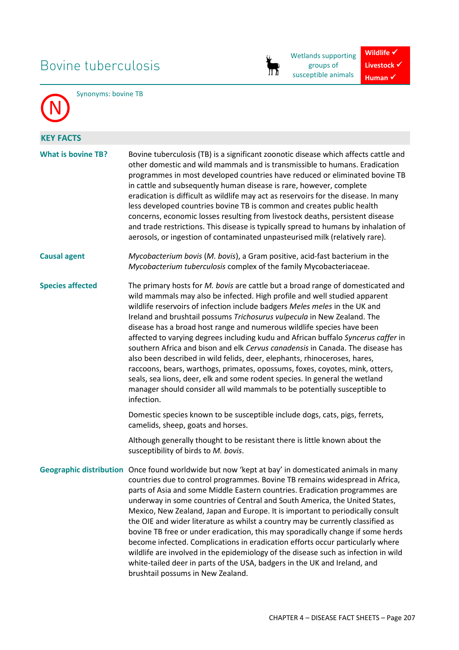# Bovine tuberculosis



Wetlands supporting groups of susceptible animals

**Wildlife** √ **Livestock**  $\checkmark$ **Human** ✔



Synonyms: bovine TB

| Bovine tuberculosis (TB) is a significant zoonotic disease which affects cattle and<br>other domestic and wild mammals and is transmissible to humans. Eradication<br>programmes in most developed countries have reduced or eliminated bovine TB<br>in cattle and subsequently human disease is rare, however, complete<br>eradication is difficult as wildlife may act as reservoirs for the disease. In many<br>less developed countries bovine TB is common and creates public health<br>concerns, economic losses resulting from livestock deaths, persistent disease<br>and trade restrictions. This disease is typically spread to humans by inhalation of<br>aerosols, or ingestion of contaminated unpasteurised milk (relatively rare).                                                                                                                                                                                                                                                                                                                                                                |  |  |  |  |  |
|------------------------------------------------------------------------------------------------------------------------------------------------------------------------------------------------------------------------------------------------------------------------------------------------------------------------------------------------------------------------------------------------------------------------------------------------------------------------------------------------------------------------------------------------------------------------------------------------------------------------------------------------------------------------------------------------------------------------------------------------------------------------------------------------------------------------------------------------------------------------------------------------------------------------------------------------------------------------------------------------------------------------------------------------------------------------------------------------------------------|--|--|--|--|--|
| Mycobacterium bovis (M. bovis), a Gram positive, acid-fast bacterium in the<br>Mycobacterium tuberculosis complex of the family Mycobacteriaceae.                                                                                                                                                                                                                                                                                                                                                                                                                                                                                                                                                                                                                                                                                                                                                                                                                                                                                                                                                                |  |  |  |  |  |
| The primary hosts for M. bovis are cattle but a broad range of domesticated and<br>wild mammals may also be infected. High profile and well studied apparent<br>wildlife reservoirs of infection include badgers Meles meles in the UK and<br>Ireland and brushtail possums Trichosurus vulpecula in New Zealand. The<br>disease has a broad host range and numerous wildlife species have been<br>affected to varying degrees including kudu and African buffalo Syncerus caffer in<br>southern Africa and bison and elk Cervus canadensis in Canada. The disease has<br>also been described in wild felids, deer, elephants, rhinoceroses, hares,<br>raccoons, bears, warthogs, primates, opossums, foxes, coyotes, mink, otters,<br>seals, sea lions, deer, elk and some rodent species. In general the wetland<br>manager should consider all wild mammals to be potentially susceptible to<br>infection.<br>Domestic species known to be susceptible include dogs, cats, pigs, ferrets,<br>camelids, sheep, goats and horses.<br>Although generally thought to be resistant there is little known about the |  |  |  |  |  |
| susceptibility of birds to M. bovis.<br>Geographic distribution Once found worldwide but now 'kept at bay' in domesticated animals in many<br>countries due to control programmes. Bovine TB remains widespread in Africa,<br>parts of Asia and some Middle Eastern countries. Eradication programmes are<br>underway in some countries of Central and South America, the United States,<br>Mexico, New Zealand, Japan and Europe. It is important to periodically consult<br>the OIE and wider literature as whilst a country may be currently classified as<br>bovine TB free or under eradication, this may sporadically change if some herds<br>become infected. Complications in eradication efforts occur particularly where<br>wildlife are involved in the epidemiology of the disease such as infection in wild<br>white-tailed deer in parts of the USA, badgers in the UK and Ireland, and<br>brushtail possums in New Zealand.                                                                                                                                                                       |  |  |  |  |  |
|                                                                                                                                                                                                                                                                                                                                                                                                                                                                                                                                                                                                                                                                                                                                                                                                                                                                                                                                                                                                                                                                                                                  |  |  |  |  |  |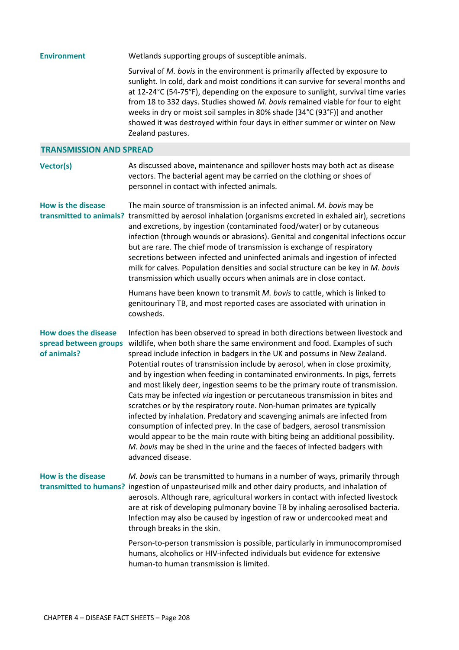| <b>Environment</b>                                                  | Wetlands supporting groups of susceptible animals.                                                                                                                                                                                                                                                                                                                                                                                                                                                                                                                                                                                                                                                                                                                                                                                                                                                                                                                                                     |  |  |  |  |  |  |
|---------------------------------------------------------------------|--------------------------------------------------------------------------------------------------------------------------------------------------------------------------------------------------------------------------------------------------------------------------------------------------------------------------------------------------------------------------------------------------------------------------------------------------------------------------------------------------------------------------------------------------------------------------------------------------------------------------------------------------------------------------------------------------------------------------------------------------------------------------------------------------------------------------------------------------------------------------------------------------------------------------------------------------------------------------------------------------------|--|--|--|--|--|--|
|                                                                     | Survival of M. bovis in the environment is primarily affected by exposure to<br>sunlight. In cold, dark and moist conditions it can survive for several months and<br>at 12-24°C (54-75°F), depending on the exposure to sunlight, survival time varies<br>from 18 to 332 days. Studies showed M. bovis remained viable for four to eight<br>weeks in dry or moist soil samples in 80% shade [34°C (93°F)] and another<br>showed it was destroyed within four days in either summer or winter on New<br>Zealand pastures.                                                                                                                                                                                                                                                                                                                                                                                                                                                                              |  |  |  |  |  |  |
| <b>TRANSMISSION AND SPREAD</b>                                      |                                                                                                                                                                                                                                                                                                                                                                                                                                                                                                                                                                                                                                                                                                                                                                                                                                                                                                                                                                                                        |  |  |  |  |  |  |
| Vector(s)                                                           | As discussed above, maintenance and spillover hosts may both act as disease<br>vectors. The bacterial agent may be carried on the clothing or shoes of<br>personnel in contact with infected animals.                                                                                                                                                                                                                                                                                                                                                                                                                                                                                                                                                                                                                                                                                                                                                                                                  |  |  |  |  |  |  |
| <b>How is the disease</b>                                           | The main source of transmission is an infected animal. M. bovis may be<br>transmitted to animals? transmitted by aerosol inhalation (organisms excreted in exhaled air), secretions<br>and excretions, by ingestion (contaminated food/water) or by cutaneous<br>infection (through wounds or abrasions). Genital and congenital infections occur<br>but are rare. The chief mode of transmission is exchange of respiratory<br>secretions between infected and uninfected animals and ingestion of infected<br>milk for calves. Population densities and social structure can be key in M. bovis<br>transmission which usually occurs when animals are in close contact.                                                                                                                                                                                                                                                                                                                              |  |  |  |  |  |  |
|                                                                     | Humans have been known to transmit M. bovis to cattle, which is linked to<br>genitourinary TB, and most reported cases are associated with urination in<br>cowsheds.                                                                                                                                                                                                                                                                                                                                                                                                                                                                                                                                                                                                                                                                                                                                                                                                                                   |  |  |  |  |  |  |
| <b>How does the disease</b><br>spread between groups<br>of animals? | Infection has been observed to spread in both directions between livestock and<br>wildlife, when both share the same environment and food. Examples of such<br>spread include infection in badgers in the UK and possums in New Zealand.<br>Potential routes of transmission include by aerosol, when in close proximity,<br>and by ingestion when feeding in contaminated environments. In pigs, ferrets<br>and most likely deer, ingestion seems to be the primary route of transmission.<br>Cats may be infected via ingestion or percutaneous transmission in bites and<br>scratches or by the respiratory route. Non-human primates are typically<br>infected by inhalation. Predatory and scavenging animals are infected from<br>consumption of infected prey. In the case of badgers, aerosol transmission<br>would appear to be the main route with biting being an additional possibility.<br>M. bovis may be shed in the urine and the faeces of infected badgers with<br>advanced disease. |  |  |  |  |  |  |
| <b>How is the disease</b><br>transmitted to humans?                 | M. bovis can be transmitted to humans in a number of ways, primarily through<br>ingestion of unpasteurised milk and other dairy products, and inhalation of<br>aerosols. Although rare, agricultural workers in contact with infected livestock<br>are at risk of developing pulmonary bovine TB by inhaling aerosolised bacteria.<br>Infection may also be caused by ingestion of raw or undercooked meat and<br>through breaks in the skin.                                                                                                                                                                                                                                                                                                                                                                                                                                                                                                                                                          |  |  |  |  |  |  |
|                                                                     | Person-to-person transmission is possible, particularly in immunocompromised<br>humans, alcoholics or HIV-infected individuals but evidence for extensive<br>human-to human transmission is limited.                                                                                                                                                                                                                                                                                                                                                                                                                                                                                                                                                                                                                                                                                                                                                                                                   |  |  |  |  |  |  |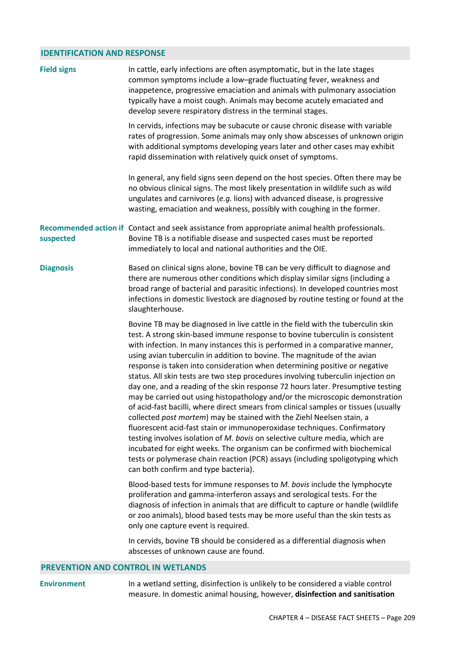## **IDENTIFICATION AND RESPONSE**

| <b>Field signs</b> | In cattle, early infections are often asymptomatic, but in the late stages<br>common symptoms include a low-grade fluctuating fever, weakness and<br>inappetence, progressive emaciation and animals with pulmonary association<br>typically have a moist cough. Animals may become acutely emaciated and<br>develop severe respiratory distress in the terminal stages.                                                                                                                                                                                                                                                                                                                                                                                                                                                                                                                                                                                                                                                                                                                                                                                                                            |
|--------------------|-----------------------------------------------------------------------------------------------------------------------------------------------------------------------------------------------------------------------------------------------------------------------------------------------------------------------------------------------------------------------------------------------------------------------------------------------------------------------------------------------------------------------------------------------------------------------------------------------------------------------------------------------------------------------------------------------------------------------------------------------------------------------------------------------------------------------------------------------------------------------------------------------------------------------------------------------------------------------------------------------------------------------------------------------------------------------------------------------------------------------------------------------------------------------------------------------------|
|                    | In cervids, infections may be subacute or cause chronic disease with variable<br>rates of progression. Some animals may only show abscesses of unknown origin<br>with additional symptoms developing years later and other cases may exhibit<br>rapid dissemination with relatively quick onset of symptoms.                                                                                                                                                                                                                                                                                                                                                                                                                                                                                                                                                                                                                                                                                                                                                                                                                                                                                        |
|                    | In general, any field signs seen depend on the host species. Often there may be<br>no obvious clinical signs. The most likely presentation in wildlife such as wild<br>ungulates and carnivores (e.g. lions) with advanced disease, is progressive<br>wasting, emaciation and weakness, possibly with coughing in the former.                                                                                                                                                                                                                                                                                                                                                                                                                                                                                                                                                                                                                                                                                                                                                                                                                                                                       |
| suspected          | Recommended action if Contact and seek assistance from appropriate animal health professionals.<br>Bovine TB is a notifiable disease and suspected cases must be reported<br>immediately to local and national authorities and the OIE.                                                                                                                                                                                                                                                                                                                                                                                                                                                                                                                                                                                                                                                                                                                                                                                                                                                                                                                                                             |
| <b>Diagnosis</b>   | Based on clinical signs alone, bovine TB can be very difficult to diagnose and<br>there are numerous other conditions which display similar signs (including a<br>broad range of bacterial and parasitic infections). In developed countries most<br>infections in domestic livestock are diagnosed by routine testing or found at the<br>slaughterhouse.                                                                                                                                                                                                                                                                                                                                                                                                                                                                                                                                                                                                                                                                                                                                                                                                                                           |
|                    | Bovine TB may be diagnosed in live cattle in the field with the tuberculin skin<br>test. A strong skin-based immune response to bovine tuberculin is consistent<br>with infection. In many instances this is performed in a comparative manner,<br>using avian tuberculin in addition to bovine. The magnitude of the avian<br>response is taken into consideration when determining positive or negative<br>status. All skin tests are two step procedures involving tuberculin injection on<br>day one, and a reading of the skin response 72 hours later. Presumptive testing<br>may be carried out using histopathology and/or the microscopic demonstration<br>of acid-fast bacilli, where direct smears from clinical samples or tissues (usually<br>collected post mortem) may be stained with the Ziehl Neelsen stain, a<br>fluorescent acid-fast stain or immunoperoxidase techniques. Confirmatory<br>testing involves isolation of M. bovis on selective culture media, which are<br>incubated for eight weeks. The organism can be confirmed with biochemical<br>tests or polymerase chain reaction (PCR) assays (including spoligotyping which<br>can both confirm and type bacteria). |
|                    | Blood-based tests for immune responses to M. bovis include the lymphocyte<br>proliferation and gamma-interferon assays and serological tests. For the<br>diagnosis of infection in animals that are difficult to capture or handle (wildlife<br>or zoo animals), blood based tests may be more useful than the skin tests as<br>only one capture event is required.                                                                                                                                                                                                                                                                                                                                                                                                                                                                                                                                                                                                                                                                                                                                                                                                                                 |
|                    | In cervids, bovine TB should be considered as a differential diagnosis when<br>abscesses of unknown cause are found.                                                                                                                                                                                                                                                                                                                                                                                                                                                                                                                                                                                                                                                                                                                                                                                                                                                                                                                                                                                                                                                                                |

### **PREVENTION AND CONTROL IN WETLANDS**

**Environment** In a wetland setting, disinfection is unlikely to be considered a viable control measure. In domestic animal housing, however, **disinfection and sanitisation**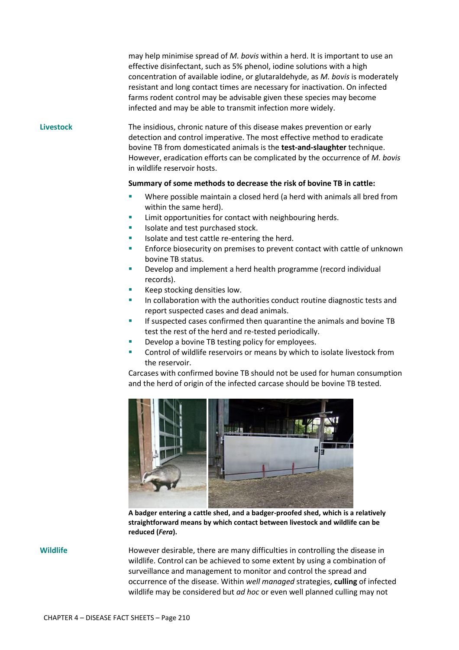may help minimise spread of *M. bovis* within a herd. It is important to use an effective disinfectant, such as 5% phenol, iodine solutions with a high concentration of available iodine, or glutaraldehyde, as *M. bovis* is moderately resistant and long contact times are necessary for inactivation. On infected farms rodent control may be advisable given these species may become infected and may be able to transmit infection more widely.

**Livestock** The insidious, chronic nature of this disease makes prevention or early detection and control imperative. The most effective method to eradicate bovine TB from domesticated animals is the **test-and-slaughter** technique. However, eradication efforts can be complicated by the occurrence of *M. bovis* in wildlife reservoir hosts.

### **Summary of some methods to decrease the risk of bovine TB in cattle:**

- Where possible maintain a closed herd (a herd with animals all bred from within the same herd).
- **EXECUTE:** Limit opportunities for contact with neighbouring herds.
- Isolate and test purchased stock.
- Isolate and test cattle re-entering the herd.
- **Enforce biosecurity on premises to prevent contact with cattle of unknown** bovine TB status.
- **Develop and implement a herd health programme (record individual** records).
- Keep stocking densities low.
- In collaboration with the authorities conduct routine diagnostic tests and report suspected cases and dead animals.
- **If suspected cases confirmed then quarantine the animals and bovine TB** test the rest of the herd and re-tested periodically.
- **Develop a bovine TB testing policy for employees.**
- **EXECONT CONTROL OF WILD THE CONTROL CONTROL CONTROL CONTROL CONTROL CONTROL CONTROL CONTROL CONTROL CONTROL CONTROLL 20 ID 2010 CONTROLL 20 ID 2010 CONTROLL CONTROLL CONTROLL CONTROLL CONTROLL** the reservoir.

Carcases with confirmed bovine TB should not be used for human consumption and the herd of origin of the infected carcase should be bovine TB tested.



**A badger entering a cattle shed, and a badger-proofed shed, which is a relatively straightforward means by which contact between livestock and wildlife can be reduced (***Fera***).** 

**Wildlife** However desirable, there are many difficulties in controlling the disease in wildlife. Control can be achieved to some extent by using a combination of surveillance and management to monitor and control the spread and occurrence of the disease. Within *well managed* strategies, **culling** of infected wildlife may be considered but *ad hoc* or even well planned culling may not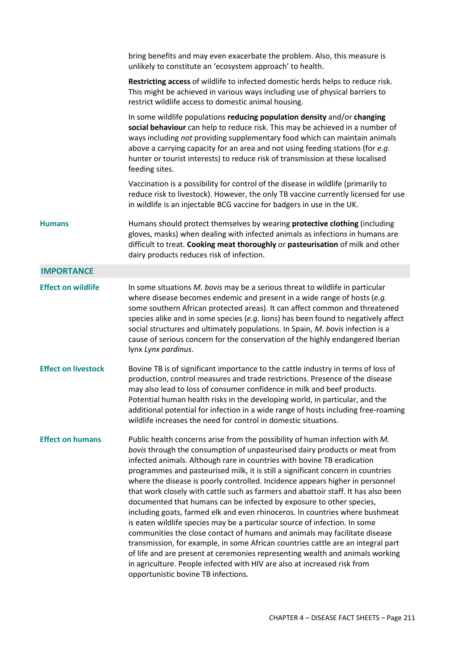|                            | bring benefits and may even exacerbate the problem. Also, this measure is<br>unlikely to constitute an 'ecosystem approach' to health.                                                                                                                                                                                                                                                                                                                                                                                                                                                                                                                                                                                                                                                                                                                                                                                                                                                                                                                                                                      |
|----------------------------|-------------------------------------------------------------------------------------------------------------------------------------------------------------------------------------------------------------------------------------------------------------------------------------------------------------------------------------------------------------------------------------------------------------------------------------------------------------------------------------------------------------------------------------------------------------------------------------------------------------------------------------------------------------------------------------------------------------------------------------------------------------------------------------------------------------------------------------------------------------------------------------------------------------------------------------------------------------------------------------------------------------------------------------------------------------------------------------------------------------|
|                            | Restricting access of wildlife to infected domestic herds helps to reduce risk.<br>This might be achieved in various ways including use of physical barriers to<br>restrict wildlife access to domestic animal housing.                                                                                                                                                                                                                                                                                                                                                                                                                                                                                                                                                                                                                                                                                                                                                                                                                                                                                     |
|                            | In some wildlife populations reducing population density and/or changing<br>social behaviour can help to reduce risk. This may be achieved in a number of<br>ways including not providing supplementary food which can maintain animals<br>above a carrying capacity for an area and not using feeding stations (for e.g.<br>hunter or tourist interests) to reduce risk of transmission at these localised<br>feeding sites.                                                                                                                                                                                                                                                                                                                                                                                                                                                                                                                                                                                                                                                                               |
|                            | Vaccination is a possibility for control of the disease in wildlife (primarily to<br>reduce risk to livestock). However, the only TB vaccine currently licensed for use<br>in wildlife is an injectable BCG vaccine for badgers in use in the UK.                                                                                                                                                                                                                                                                                                                                                                                                                                                                                                                                                                                                                                                                                                                                                                                                                                                           |
| <b>Humans</b>              | Humans should protect themselves by wearing protective clothing (including<br>gloves, masks) when dealing with infected animals as infections in humans are<br>difficult to treat. Cooking meat thoroughly or pasteurisation of milk and other<br>dairy products reduces risk of infection.                                                                                                                                                                                                                                                                                                                                                                                                                                                                                                                                                                                                                                                                                                                                                                                                                 |
| <b>IMPORTANCE</b>          |                                                                                                                                                                                                                                                                                                                                                                                                                                                                                                                                                                                                                                                                                                                                                                                                                                                                                                                                                                                                                                                                                                             |
| <b>Effect on wildlife</b>  | In some situations M. bovis may be a serious threat to wildlife in particular<br>where disease becomes endemic and present in a wide range of hosts (e.g.<br>some southern African protected areas). It can affect common and threatened<br>species alike and in some species (e.g. lions) has been found to negatively affect<br>social structures and ultimately populations. In Spain, M. bovis infection is a<br>cause of serious concern for the conservation of the highly endangered Iberian<br>lynx Lynx pardinus.                                                                                                                                                                                                                                                                                                                                                                                                                                                                                                                                                                                  |
| <b>Effect on livestock</b> | Bovine TB is of significant importance to the cattle industry in terms of loss of<br>production, control measures and trade restrictions. Presence of the disease<br>may also lead to loss of consumer confidence in milk and beef products.<br>Potential human health risks in the developing world, in particular, and the<br>additional potential for infection in a wide range of hosts including free-roaming<br>wildlife increases the need for control in domestic situations.                                                                                                                                                                                                                                                                                                                                                                                                                                                                                                                                                                                                                       |
| <b>Effect on humans</b>    | Public health concerns arise from the possibility of human infection with M.<br>bovis through the consumption of unpasteurised dairy products or meat from<br>infected animals. Although rare in countries with bovine TB eradication<br>programmes and pasteurised milk, it is still a significant concern in countries<br>where the disease is poorly controlled. Incidence appears higher in personnel<br>that work closely with cattle such as farmers and abattoir staff. It has also been<br>documented that humans can be infected by exposure to other species,<br>including goats, farmed elk and even rhinoceros. In countries where bushmeat<br>is eaten wildlife species may be a particular source of infection. In some<br>communities the close contact of humans and animals may facilitate disease<br>transmission, for example, in some African countries cattle are an integral part<br>of life and are present at ceremonies representing wealth and animals working<br>in agriculture. People infected with HIV are also at increased risk from<br>opportunistic bovine TB infections. |